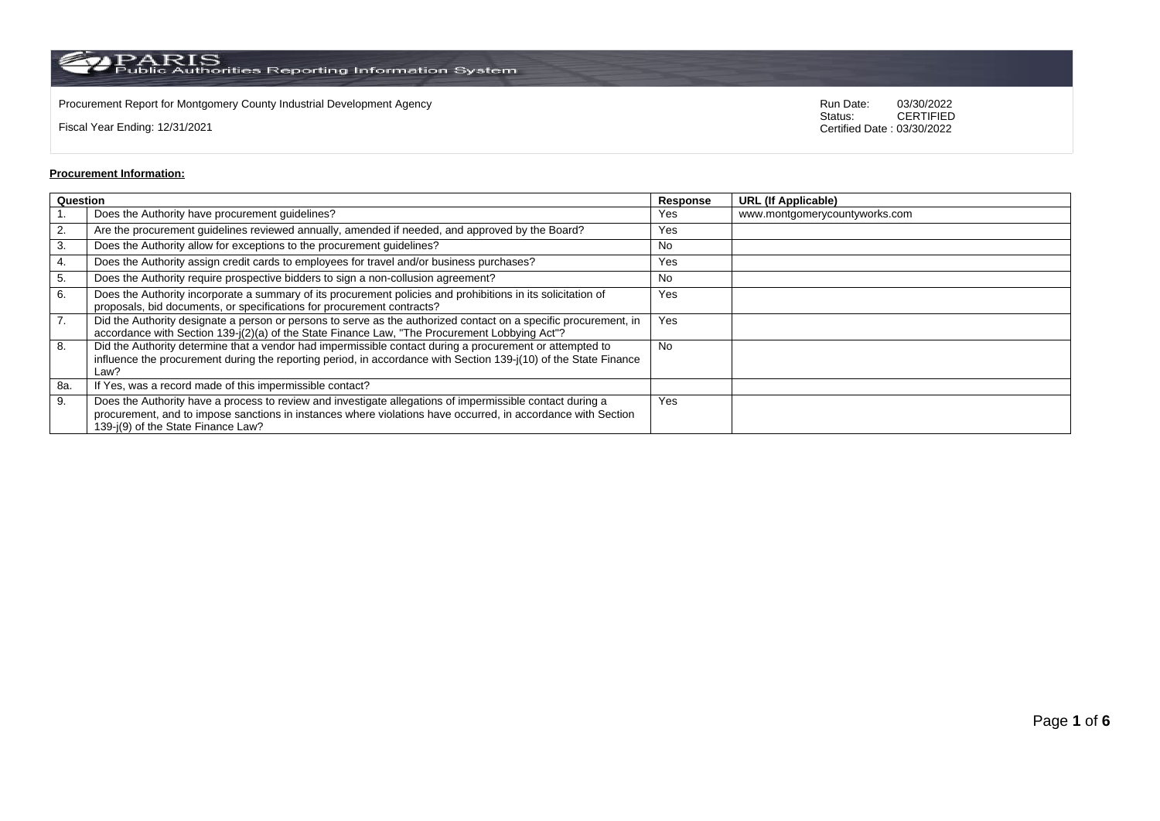Procurement Report for Montgomery County Industrial Development Agency<br>
Status: CERTIFIED<br>
CERTIFIED

Fiscal Year Ending: 12/31/2021

CERTIFIED Certified Date : 03/30/2022

## **Procurement Information:**

|     | Question                                                                                                                                                                                                                                                        |           | <b>URL (If Applicable)</b>    |
|-----|-----------------------------------------------------------------------------------------------------------------------------------------------------------------------------------------------------------------------------------------------------------------|-----------|-------------------------------|
|     | Does the Authority have procurement guidelines?                                                                                                                                                                                                                 | Yes       | www.montgomerycountyworks.com |
| 2.  | Are the procurement guidelines reviewed annually, amended if needed, and approved by the Board?                                                                                                                                                                 | Yes       |                               |
| 3.  | Does the Authority allow for exceptions to the procurement guidelines?                                                                                                                                                                                          | No        |                               |
| 4.  | Does the Authority assign credit cards to employees for travel and/or business purchases?                                                                                                                                                                       | Yes       |                               |
| 5.  | Does the Authority require prospective bidders to sign a non-collusion agreement?                                                                                                                                                                               | No        |                               |
| 6.  | Does the Authority incorporate a summary of its procurement policies and prohibitions in its solicitation of<br>proposals, bid documents, or specifications for procurement contracts?                                                                          | Yes       |                               |
| 7.  | Did the Authority designate a person or persons to serve as the authorized contact on a specific procurement, in<br>accordance with Section 139-j(2)(a) of the State Finance Law, "The Procurement Lobbying Act"?                                               | Yes       |                               |
| 8.  | Did the Authority determine that a vendor had impermissible contact during a procurement or attempted to<br>influence the procurement during the reporting period, in accordance with Section 139-j(10) of the State Finance<br>Law?                            | <b>No</b> |                               |
| 8a. | If Yes, was a record made of this impermissible contact?                                                                                                                                                                                                        |           |                               |
| 9.  | Does the Authority have a process to review and investigate allegations of impermissible contact during a<br>procurement, and to impose sanctions in instances where violations have occurred, in accordance with Section<br>139-j(9) of the State Finance Law? | Yes       |                               |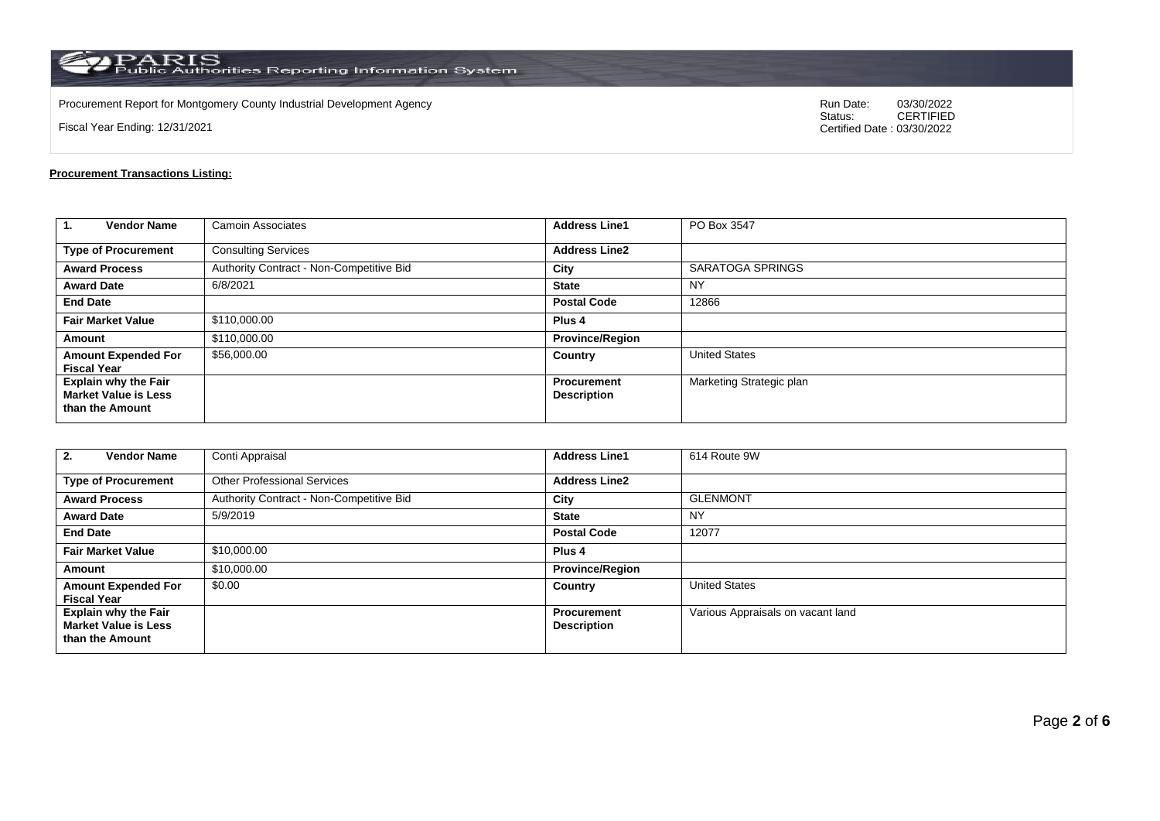Procurement Report for Montgomery County Industrial Development Agency<br>
Status: CERTIFIED<br>
CERTIFIED

Fiscal Year Ending: 12/31/2021

CERTIFIED Certified Date : 03/30/2022

## **Procurement Transactions Listing:**

| 1.<br><b>Vendor Name</b>                                                      | <b>Camoin Associates</b>                 | <b>Address Line1</b>              | PO Box 3547              |
|-------------------------------------------------------------------------------|------------------------------------------|-----------------------------------|--------------------------|
| <b>Type of Procurement</b>                                                    | <b>Consulting Services</b>               | <b>Address Line2</b>              |                          |
| <b>Award Process</b>                                                          | Authority Contract - Non-Competitive Bid | City                              | <b>SARATOGA SPRINGS</b>  |
| <b>Award Date</b>                                                             | 6/8/2021                                 | <b>State</b>                      | NY                       |
| <b>End Date</b>                                                               |                                          | <b>Postal Code</b>                | 12866                    |
| <b>Fair Market Value</b>                                                      | \$110,000.00                             | Plus <sub>4</sub>                 |                          |
| Amount                                                                        | \$110,000.00                             | <b>Province/Region</b>            |                          |
| <b>Amount Expended For</b><br><b>Fiscal Year</b>                              | \$56,000.00                              | Country                           | <b>United States</b>     |
| <b>Explain why the Fair</b><br><b>Market Value is Less</b><br>than the Amount |                                          | Procurement<br><b>Description</b> | Marketing Strategic plan |

| <b>Vendor Name</b><br>2.                                                      | Conti Appraisal                          | <b>Address Line1</b>                     | 614 Route 9W                      |
|-------------------------------------------------------------------------------|------------------------------------------|------------------------------------------|-----------------------------------|
| <b>Type of Procurement</b>                                                    | <b>Other Professional Services</b>       | <b>Address Line2</b>                     |                                   |
| <b>Award Process</b>                                                          | Authority Contract - Non-Competitive Bid | City                                     | <b>GLENMONT</b>                   |
| <b>Award Date</b>                                                             | 5/9/2019                                 | <b>State</b>                             | <b>NY</b>                         |
| <b>End Date</b>                                                               |                                          | <b>Postal Code</b>                       | 12077                             |
| <b>Fair Market Value</b>                                                      | \$10,000.00                              | Plus <sub>4</sub>                        |                                   |
| Amount                                                                        | \$10,000.00                              | <b>Province/Region</b>                   |                                   |
| <b>Amount Expended For</b><br><b>Fiscal Year</b>                              | \$0.00                                   | Country                                  | <b>United States</b>              |
| <b>Explain why the Fair</b><br><b>Market Value is Less</b><br>than the Amount |                                          | <b>Procurement</b><br><b>Description</b> | Various Appraisals on vacant land |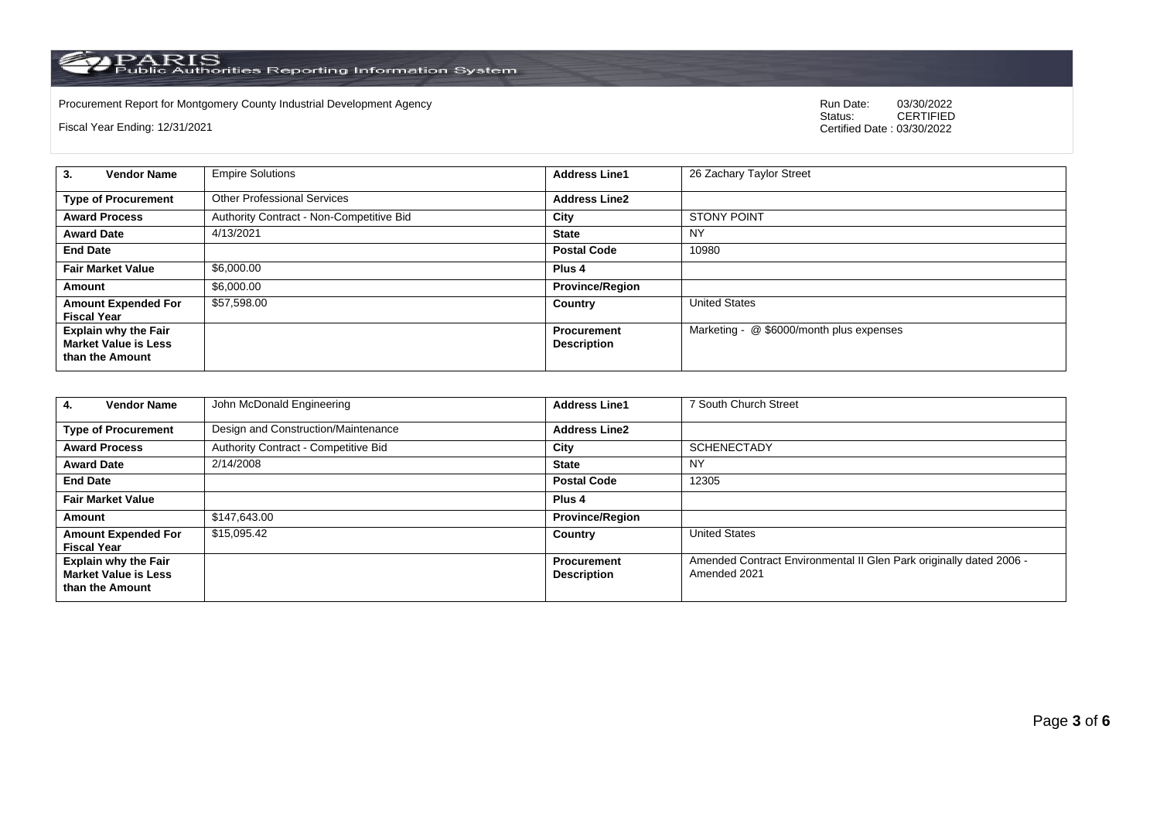Procurement Report for Montgomery County Industrial Development Agency<br>
Status: CERTIFIED<br>
CERTIFIED

Fiscal Year Ending: 12/31/2021

CERTIFIED Certified Date : 03/30/2022

| <b>Vendor Name</b><br>3.                                                      | <b>Empire Solutions</b>                  | <b>Address Line1</b>                     | 26 Zachary Taylor Street                 |
|-------------------------------------------------------------------------------|------------------------------------------|------------------------------------------|------------------------------------------|
| <b>Type of Procurement</b>                                                    | <b>Other Professional Services</b>       | <b>Address Line2</b>                     |                                          |
| <b>Award Process</b>                                                          | Authority Contract - Non-Competitive Bid | City                                     | <b>STONY POINT</b>                       |
| <b>Award Date</b>                                                             | 4/13/2021                                | <b>State</b>                             | <b>NY</b>                                |
| <b>End Date</b>                                                               |                                          | <b>Postal Code</b>                       | 10980                                    |
| <b>Fair Market Value</b>                                                      | \$6,000.00                               | Plus 4                                   |                                          |
| Amount                                                                        | \$6,000.00                               | <b>Province/Region</b>                   |                                          |
| <b>Amount Expended For</b><br><b>Fiscal Year</b>                              | \$57,598.00                              | Country                                  | <b>United States</b>                     |
| <b>Explain why the Fair</b><br><b>Market Value is Less</b><br>than the Amount |                                          | <b>Procurement</b><br><b>Description</b> | Marketing - @ \$6000/month plus expenses |

| <b>Vendor Name</b><br>4.                                                      | John McDonald Engineering            | <b>Address Line1</b>                     | 7 South Church Street                                                               |
|-------------------------------------------------------------------------------|--------------------------------------|------------------------------------------|-------------------------------------------------------------------------------------|
| <b>Type of Procurement</b>                                                    | Design and Construction/Maintenance  | <b>Address Line2</b>                     |                                                                                     |
| <b>Award Process</b>                                                          | Authority Contract - Competitive Bid | City                                     | <b>SCHENECTADY</b>                                                                  |
| <b>Award Date</b>                                                             | 2/14/2008                            | <b>State</b>                             | <b>NY</b>                                                                           |
| <b>End Date</b>                                                               |                                      | <b>Postal Code</b>                       | 12305                                                                               |
| <b>Fair Market Value</b>                                                      |                                      | Plus <sub>4</sub>                        |                                                                                     |
| Amount                                                                        | \$147,643.00                         | <b>Province/Region</b>                   |                                                                                     |
| <b>Amount Expended For</b><br><b>Fiscal Year</b>                              | \$15,095.42                          | Country                                  | <b>United States</b>                                                                |
| <b>Explain why the Fair</b><br><b>Market Value is Less</b><br>than the Amount |                                      | <b>Procurement</b><br><b>Description</b> | Amended Contract Environmental II Glen Park originally dated 2006 -<br>Amended 2021 |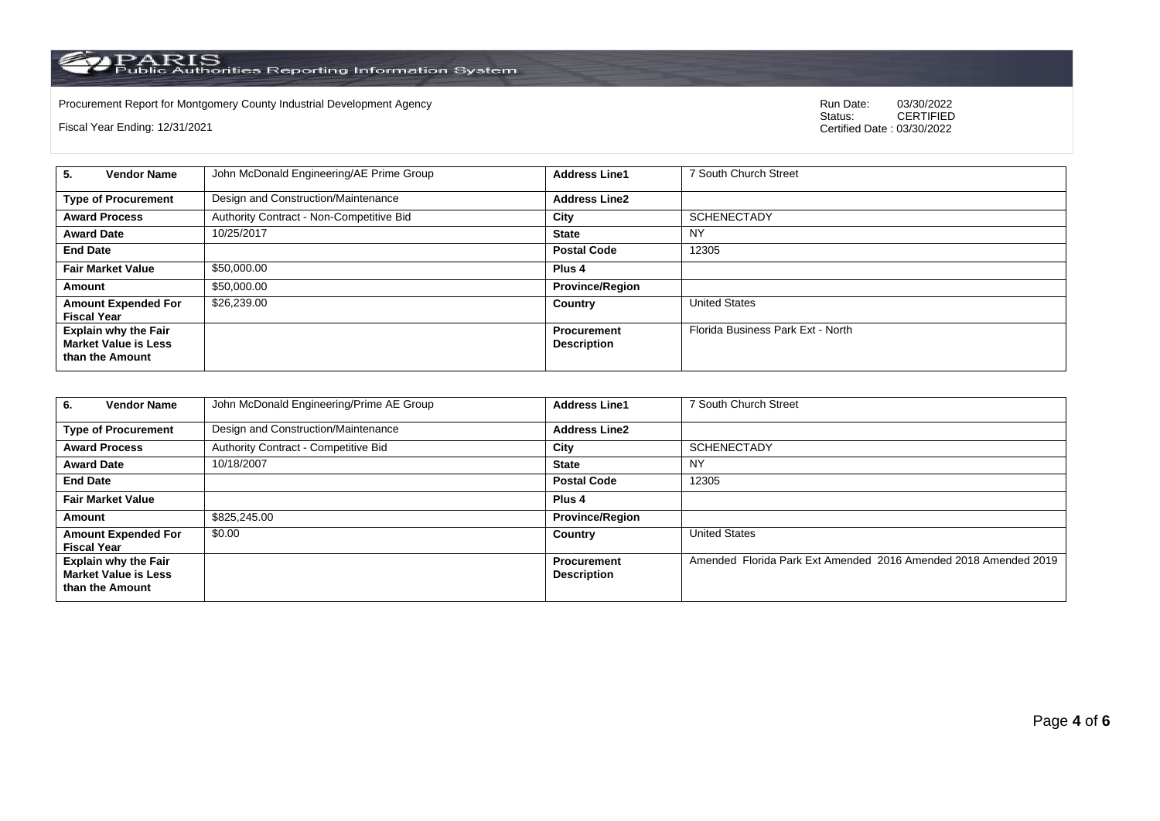Procurement Report for Montgomery County Industrial Development Agency<br>
Status: CERTIFIED<br>
CERTIFIED

Fiscal Year Ending: 12/31/2021

CERTIFIED Certified Date : 03/30/2022

| <b>Vendor Name</b><br>5.                                                      | John McDonald Engineering/AE Prime Group | <b>Address Line1</b>                     | 7 South Church Street             |
|-------------------------------------------------------------------------------|------------------------------------------|------------------------------------------|-----------------------------------|
| <b>Type of Procurement</b>                                                    | Design and Construction/Maintenance      | <b>Address Line2</b>                     |                                   |
| <b>Award Process</b>                                                          | Authority Contract - Non-Competitive Bid | City                                     | <b>SCHENECTADY</b>                |
| <b>Award Date</b>                                                             | 10/25/2017                               | <b>State</b>                             | <b>NY</b>                         |
| <b>End Date</b>                                                               |                                          | <b>Postal Code</b>                       | 12305                             |
| <b>Fair Market Value</b>                                                      | \$50,000.00                              | Plus <sub>4</sub>                        |                                   |
| Amount                                                                        | \$50,000.00                              | <b>Province/Region</b>                   |                                   |
| <b>Amount Expended For</b><br><b>Fiscal Year</b>                              | \$26,239.00                              | Country                                  | <b>United States</b>              |
| <b>Explain why the Fair</b><br><b>Market Value is Less</b><br>than the Amount |                                          | <b>Procurement</b><br><b>Description</b> | Florida Business Park Ext - North |

| <b>Vendor Name</b><br>6.                                                      | John McDonald Engineering/Prime AE Group | <b>Address Line1</b>                     | 7 South Church Street                                           |
|-------------------------------------------------------------------------------|------------------------------------------|------------------------------------------|-----------------------------------------------------------------|
| <b>Type of Procurement</b>                                                    | Design and Construction/Maintenance      | <b>Address Line2</b>                     |                                                                 |
| <b>Award Process</b>                                                          | Authority Contract - Competitive Bid     | City                                     | <b>SCHENECTADY</b>                                              |
| <b>Award Date</b>                                                             | 10/18/2007                               | <b>State</b>                             | NY                                                              |
| <b>End Date</b>                                                               |                                          | <b>Postal Code</b>                       | 12305                                                           |
| <b>Fair Market Value</b>                                                      |                                          | Plus <sub>4</sub>                        |                                                                 |
| Amount                                                                        | \$825,245.00                             | <b>Province/Region</b>                   |                                                                 |
| <b>Amount Expended For</b><br><b>Fiscal Year</b>                              | \$0.00                                   | Country                                  | <b>United States</b>                                            |
| <b>Explain why the Fair</b><br><b>Market Value is Less</b><br>than the Amount |                                          | <b>Procurement</b><br><b>Description</b> | Amended Florida Park Ext Amended 2016 Amended 2018 Amended 2019 |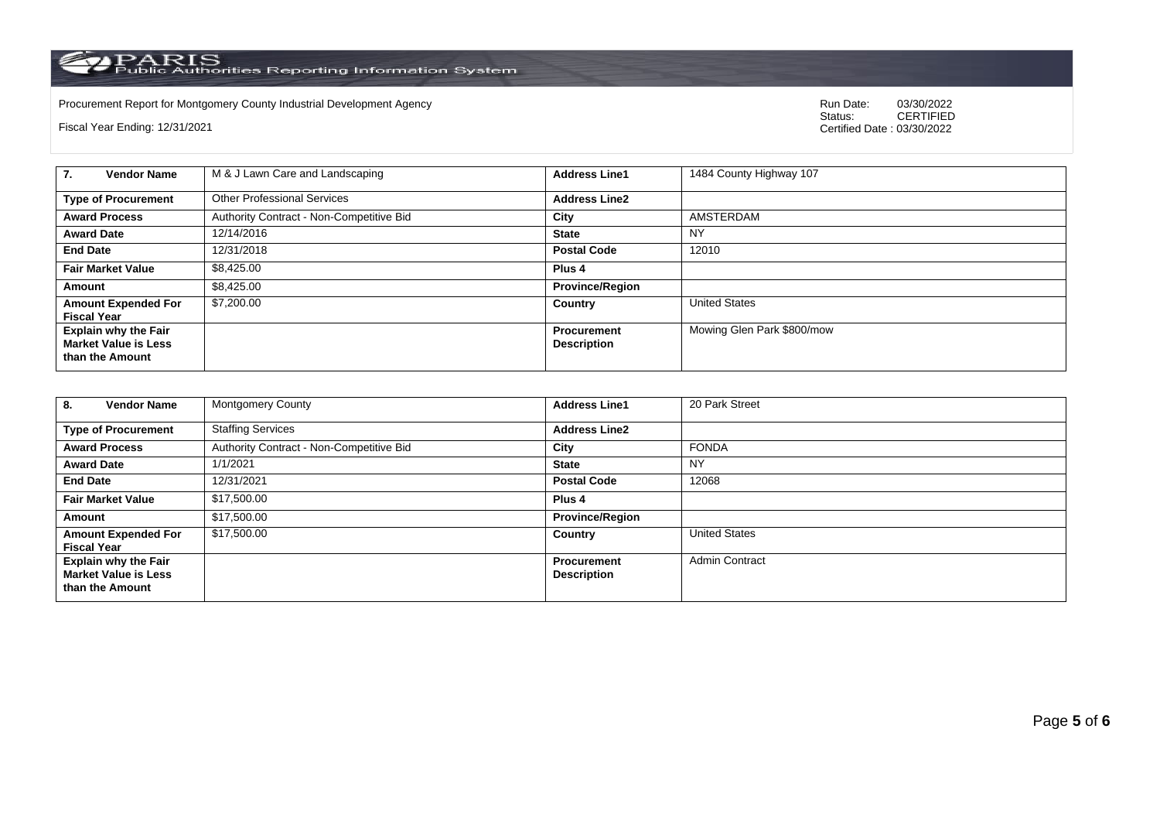Procurement Report for Montgomery County Industrial Development Agency<br>
Status: CERTIFIED<br>
CERTIFIED

Fiscal Year Ending: 12/31/2021

CERTIFIED Certified Date : 03/30/2022

| 7.<br><b>Vendor Name</b>                                                      | M & J Lawn Care and Landscaping          | <b>Address Line1</b>                     | 1484 County Highway 107    |
|-------------------------------------------------------------------------------|------------------------------------------|------------------------------------------|----------------------------|
| <b>Type of Procurement</b>                                                    | <b>Other Professional Services</b>       | <b>Address Line2</b>                     |                            |
| <b>Award Process</b>                                                          | Authority Contract - Non-Competitive Bid | City                                     | AMSTERDAM                  |
| <b>Award Date</b>                                                             | 12/14/2016                               | <b>State</b>                             | <b>NY</b>                  |
| <b>End Date</b>                                                               | 12/31/2018                               | <b>Postal Code</b>                       | 12010                      |
| <b>Fair Market Value</b>                                                      | \$8.425.00                               | Plus 4                                   |                            |
| Amount                                                                        | \$8.425.00                               | <b>Province/Region</b>                   |                            |
| <b>Amount Expended For</b><br><b>Fiscal Year</b>                              | \$7,200,00                               | Country                                  | <b>United States</b>       |
| <b>Explain why the Fair</b><br><b>Market Value is Less</b><br>than the Amount |                                          | <b>Procurement</b><br><b>Description</b> | Mowing Glen Park \$800/mow |

| <b>Vendor Name</b><br>8.                                                      | <b>Montgomery County</b>                 | <b>Address Line1</b>                     | 20 Park Street        |
|-------------------------------------------------------------------------------|------------------------------------------|------------------------------------------|-----------------------|
| <b>Type of Procurement</b>                                                    | <b>Staffing Services</b>                 | <b>Address Line2</b>                     |                       |
| <b>Award Process</b>                                                          | Authority Contract - Non-Competitive Bid | City                                     | <b>FONDA</b>          |
| <b>Award Date</b>                                                             | 1/1/2021                                 | <b>State</b>                             | <b>NY</b>             |
| <b>End Date</b>                                                               | 12/31/2021                               | <b>Postal Code</b>                       | 12068                 |
| <b>Fair Market Value</b>                                                      | \$17,500.00                              | Plus <sub>4</sub>                        |                       |
| Amount                                                                        | \$17,500.00                              | <b>Province/Region</b>                   |                       |
| <b>Amount Expended For</b><br><b>Fiscal Year</b>                              | \$17,500.00                              | Country                                  | <b>United States</b>  |
| <b>Explain why the Fair</b><br><b>Market Value is Less</b><br>than the Amount |                                          | <b>Procurement</b><br><b>Description</b> | <b>Admin Contract</b> |